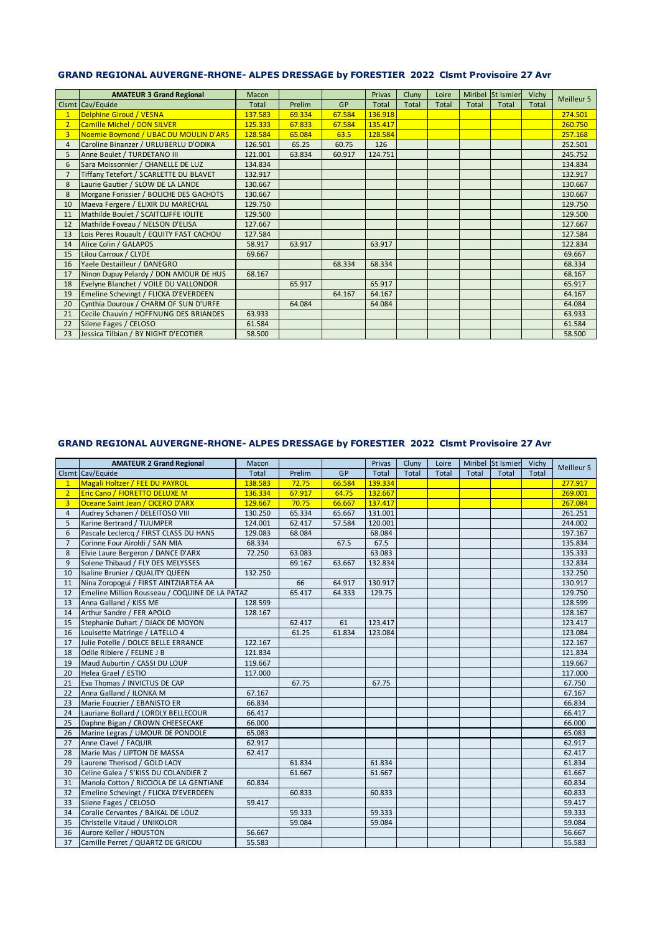### GRAND REGIONAL AUVERGNE-RHONE- ALPES DRESSAGE by FORESTIER 2022 Clsmt Provisoire 27 Avr

|                | <b>AMATEUR 3 Grand Regional</b>         | Macon        |        |        | Privas       | Cluny        | Loire        |              | Miribel St Ismier | Vichy | Meilleur 5 |
|----------------|-----------------------------------------|--------------|--------|--------|--------------|--------------|--------------|--------------|-------------------|-------|------------|
|                | Clsmt Cav/Equide                        | <b>Total</b> | Prelim | GP     | <b>Total</b> | <b>Total</b> | <b>Total</b> | <b>Total</b> | <b>Total</b>      | Total |            |
|                | <b>Delphine Giroud / VESNA</b>          | 137.583      | 69.334 | 67.584 | 136.918      |              |              |              |                   |       | 274.501    |
|                | Camille Michel / DON SILVER             | 125.333      | 67.833 | 67.584 | 135.417      |              |              |              |                   |       | 260.750    |
| $\overline{3}$ | Noemie Boymond / UBAC DU MOULIN D'ARS   | 128.584      | 65.084 | 63.5   | 128.584      |              |              |              |                   |       | 257.168    |
| 4              | Caroline Binanzer / URLUBERLU D'ODIKA   | 126.501      | 65.25  | 60.75  | 126          |              |              |              |                   |       | 252.501    |
| 5              | Anne Boulet / TURDETANO III             | 121.001      | 63.834 | 60.917 | 124.751      |              |              |              |                   |       | 245.752    |
| 6              | Sara Moissonnier / CHANELLE DE LUZ      | 134.834      |        |        |              |              |              |              |                   |       | 134.834    |
| $\overline{7}$ | Tiffany Tetefort / SCARLETTE DU BLAVET  | 132.917      |        |        |              |              |              |              |                   |       | 132.917    |
| 8              | Laurie Gautier / SLOW DE LA LANDE       | 130.667      |        |        |              |              |              |              |                   |       | 130.667    |
| 8              | Morgane Forissier / BOLICHE DES GACHOTS | 130.667      |        |        |              |              |              |              |                   |       | 130.667    |
| 10             | Maeva Fergere / ELIXIR DU MARECHAL      | 129.750      |        |        |              |              |              |              |                   |       | 129,750    |
| 11             | Mathilde Boulet / SCAITCLIFFE IOLITE    | 129.500      |        |        |              |              |              |              |                   |       | 129.500    |
| 12             | Mathilde Foveau / NELSON D'ELISA        | 127.667      |        |        |              |              |              |              |                   |       | 127.667    |
| 13             | Lois Peres Rouault / EQUITY FAST CACHOU | 127.584      |        |        |              |              |              |              |                   |       | 127.584    |
| 14             | Alice Colin / GALAPOS                   | 58.917       | 63.917 |        | 63.917       |              |              |              |                   |       | 122.834    |
| 15             | Lilou Carroux / CLYDE                   | 69.667       |        |        |              |              |              |              |                   |       | 69.667     |
| 16             | Yaele Destailleur / DANEGRO             |              |        | 68.334 | 68.334       |              |              |              |                   |       | 68.334     |
| 17             | Ninon Dupuy Pelardy / DON AMOUR DE HUS  | 68.167       |        |        |              |              |              |              |                   |       | 68.167     |
| 18             | Evelyne Blanchet / VOILE DU VALLONDOR   |              | 65.917 |        | 65.917       |              |              |              |                   |       | 65.917     |
| 19             | Emeline Schevingt / FLICKA D'EVERDEEN   |              |        | 64.167 | 64.167       |              |              |              |                   |       | 64.167     |
| 20             | Cynthia Douroux / CHARM OF SUN D'URFE   |              | 64.084 |        | 64.084       |              |              |              |                   |       | 64.084     |
| 21             | Cecile Chauvin / HOFFNUNG DES BRIANDES  | 63.933       |        |        |              |              |              |              |                   |       | 63.933     |
| 22             | Silene Fages / CELOSO                   | 61.584       |        |        |              |              |              |              |                   |       | 61.584     |
| 23             | Jessica Tilbian / BY NIGHT D'ECOTIER    | 58.500       |        |        |              |              |              |              |                   |       | 58.500     |

### GRAND REGIONAL AUVERGNE-RHONE- ALPES DRESSAGE by FORESTIER 2022 Clsmt Provisoire 27 Avr

|                | <b>AMATEUR 2 Grand Regional</b>                | Macon   |        |        | Privas  | Cluny | Loire |       | Miribel St Ismier | Vichy |            |
|----------------|------------------------------------------------|---------|--------|--------|---------|-------|-------|-------|-------------------|-------|------------|
|                | Clsmt Cav/Equide                               | Total   | Prelim | GP     | Total   | Total | Total | Total | Total             | Total | Meilleur 5 |
| $\mathbf{1}$   | Magali Holtzer / FEE DU PAYROL                 | 138.583 | 72.75  | 66.584 | 139.334 |       |       |       |                   |       | 277.917    |
| $\overline{2}$ | <b>Eric Cano / FIORETTO DELUXE M</b>           | 136.334 | 67.917 | 64.75  | 132.667 |       |       |       |                   |       | 269.001    |
| 3              | Oceane Saint Jean / CICERO D'ARX               | 129.667 | 70.75  | 66.667 | 137.417 |       |       |       |                   |       | 267.084    |
| $\overline{4}$ | Audrey Schanen / DELEITOSO VIII                | 130.250 | 65.334 | 65.667 | 131.001 |       |       |       |                   |       | 261.251    |
| 5              | Karine Bertrand / TIJUMPER                     | 124.001 | 62.417 | 57.584 | 120.001 |       |       |       |                   |       | 244.002    |
| 6              | Pascale Leclercg / FIRST CLASS DU HANS         | 129.083 | 68.084 |        | 68.084  |       |       |       |                   |       | 197.167    |
| $\overline{7}$ | Corinne Four Airoldi / SAN MIA                 | 68.334  |        | 67.5   | 67.5    |       |       |       |                   |       | 135.834    |
| 8              | Elvie Laure Bergeron / DANCE D'ARX             | 72.250  | 63.083 |        | 63.083  |       |       |       |                   |       | 135.333    |
| 9              | Solene Thibaud / FLY DES MELYSSES              |         | 69.167 | 63.667 | 132.834 |       |       |       |                   |       | 132.834    |
| 10             | Isaline Brunier / QUALITY QUEEN                | 132.250 |        |        |         |       |       |       |                   |       | 132.250    |
| 11             | Nina Zoropogui / FIRST AINTZIARTEA AA          |         | 66     | 64.917 | 130.917 |       |       |       |                   |       | 130.917    |
| 12             | Emeline Million Rousseau / COQUINE DE LA PATAZ |         | 65.417 | 64.333 | 129.75  |       |       |       |                   |       | 129.750    |
| 13             | Anna Galland / KISS ME                         | 128.599 |        |        |         |       |       |       |                   |       | 128.599    |
| 14             | Arthur Sandre / FER APOLO                      | 128.167 |        |        |         |       |       |       |                   |       | 128.167    |
| 15             | Stephanie Duhart / DJACK DE MOYON              |         | 62.417 | 61     | 123.417 |       |       |       |                   |       | 123.417    |
| 16             | Louisette Matringe / LATELLO 4                 |         | 61.25  | 61.834 | 123.084 |       |       |       |                   |       | 123.084    |
| 17             | Julie Potelle / DOLCE BELLE ERRANCE            | 122.167 |        |        |         |       |       |       |                   |       | 122.167    |
| 18             | Odile Ribiere / FELINE J B                     | 121.834 |        |        |         |       |       |       |                   |       | 121.834    |
| 19             | Maud Auburtin / CASSI DU LOUP                  | 119.667 |        |        |         |       |       |       |                   |       | 119.667    |
| 20             | Helea Grael / ESTIO                            | 117.000 |        |        |         |       |       |       |                   |       | 117.000    |
| 21             | Eva Thomas / INVICTUS DE CAP                   |         | 67.75  |        | 67.75   |       |       |       |                   |       | 67.750     |
| 22             | Anna Galland / ILONKA M                        | 67.167  |        |        |         |       |       |       |                   |       | 67.167     |
| 23             | Marie Foucrier / EBANISTO ER                   | 66.834  |        |        |         |       |       |       |                   |       | 66.834     |
| 24             | Lauriane Bollard / LORDLY BELLECOUR            | 66.417  |        |        |         |       |       |       |                   |       | 66.417     |
| 25             | Daphne Bigan / CROWN CHEESECAKE                | 66.000  |        |        |         |       |       |       |                   |       | 66.000     |
| 26             | Marine Legras / UMOUR DE PONDOLE               | 65.083  |        |        |         |       |       |       |                   |       | 65.083     |
| 27             | Anne Clavel / FAQUIR                           | 62.917  |        |        |         |       |       |       |                   |       | 62.917     |
| 28             | Marie Mas / LIPTON DE MASSA                    | 62.417  |        |        |         |       |       |       |                   |       | 62.417     |
| 29             | Laurene Therisod / GOLD LADY                   |         | 61.834 |        | 61.834  |       |       |       |                   |       | 61.834     |
| 30             | Celine Galea / S'KISS DU COLANDIER Z           |         | 61.667 |        | 61.667  |       |       |       |                   |       | 61.667     |
| 31             | Manola Cotton / RICCIOLA DE LA GENTIANE        | 60.834  |        |        |         |       |       |       |                   |       | 60.834     |
| 32             | Emeline Schevingt / FLICKA D'EVERDEEN          |         | 60.833 |        | 60.833  |       |       |       |                   |       | 60.833     |
| 33             | Silene Fages / CELOSO                          | 59.417  |        |        |         |       |       |       |                   |       | 59.417     |
| 34             | Coralie Cervantes / BAIKAL DE LOUZ             |         | 59.333 |        | 59.333  |       |       |       |                   |       | 59.333     |
| 35             | Christelle Vitaud / UNIKOLOR                   |         | 59.084 |        | 59.084  |       |       |       |                   |       | 59.084     |
| 36             | Aurore Keller / HOUSTON                        | 56.667  |        |        |         |       |       |       |                   |       | 56.667     |
| 37             | Camille Perret / QUARTZ DE GRICOU              | 55.583  |        |        |         |       |       |       |                   |       | 55.583     |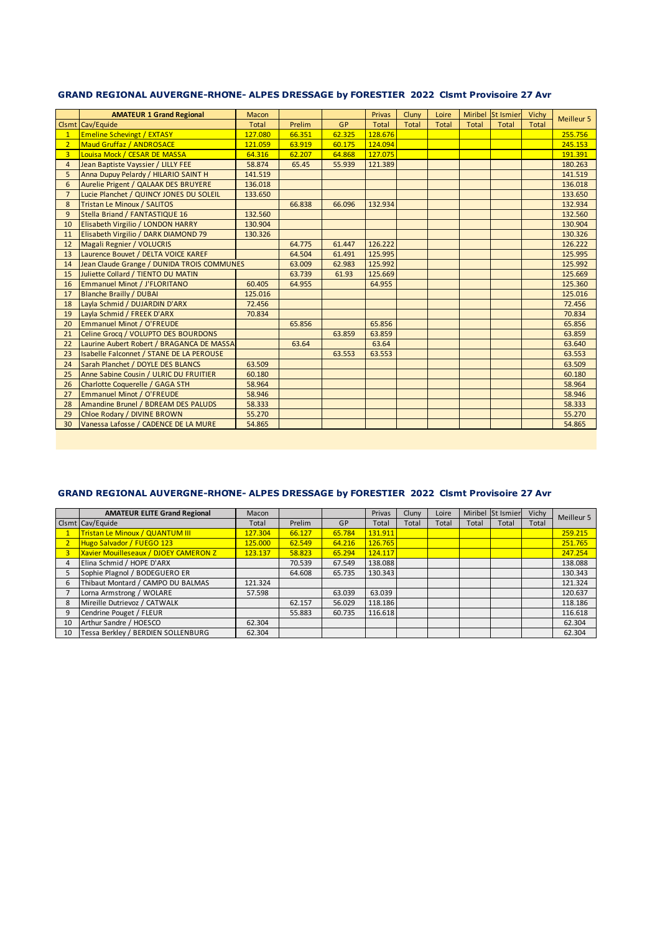### GRAND REGIONAL AUVERGNE-RHONE- ALPES DRESSAGE by FORESTIER 2022 Clsmt Provisoire 27 Avr

|                | <b>AMATEUR 1 Grand Regional</b>             | Macon        |        |           | <b>Privas</b> | Cluny        | Loire        |       | Miribel St Ismier | Vichy        |                   |
|----------------|---------------------------------------------|--------------|--------|-----------|---------------|--------------|--------------|-------|-------------------|--------------|-------------------|
|                | Clsmt Cav/Equide                            | <b>Total</b> | Prelim | <b>GP</b> | <b>Total</b>  | <b>Total</b> | <b>Total</b> | Total | <b>Total</b>      | <b>Total</b> | <b>Meilleur 5</b> |
| $\overline{1}$ | <b>Emeline Schevingt / EXTASY</b>           | 127.080      | 66.351 | 62.325    | 128.676       |              |              |       |                   |              | 255.756           |
| $\overline{2}$ | <b>Maud Gruffaz / ANDROSACE</b>             | 121.059      | 63.919 | 60.175    | 124.094       |              |              |       |                   |              | 245.153           |
| 3              | Louisa Mock / CESAR DE MASSA                | 64.316       | 62.207 | 64.868    | 127.075       |              |              |       |                   |              | 191.391           |
| $\overline{4}$ | Jean Baptiste Vayssier / LILLY FEE          | 58.874       | 65.45  | 55.939    | 121.389       |              |              |       |                   |              | 180.263           |
| 5              | Anna Dupuy Pelardy / HILARIO SAINT H        | 141.519      |        |           |               |              |              |       |                   |              | 141.519           |
| 6              | <b>Aurelie Prigent / QALAAK DES BRUYERE</b> | 136.018      |        |           |               |              |              |       |                   |              | 136.018           |
| $\overline{7}$ | Lucie Planchet / QUINCY JONES DU SOLEIL     | 133.650      |        |           |               |              |              |       |                   |              | 133.650           |
| 8              | <b>Tristan Le Minoux / SALITOS</b>          |              | 66.838 | 66.096    | 132.934       |              |              |       |                   |              | 132.934           |
| 9              | Stella Briand / FANTASTIQUE 16              | 132.560      |        |           |               |              |              |       |                   |              | 132.560           |
| 10             | Elisabeth Virgilio / LONDON HARRY           | 130.904      |        |           |               |              |              |       |                   |              | 130.904           |
| 11             | Elisabeth Virgilio / DARK DIAMOND 79        | 130.326      |        |           |               |              |              |       |                   |              | 130.326           |
| 12             | Magali Regnier / VOLUCRIS                   |              | 64.775 | 61.447    | 126.222       |              |              |       |                   |              | 126.222           |
| 13             | Laurence Bouvet / DELTA VOICE KAREF         |              | 64.504 | 61.491    | 125.995       |              |              |       |                   |              | 125.995           |
| 14             | Jean Claude Grange / DUNIDA TROIS COMMUNES  |              | 63.009 | 62.983    | 125.992       |              |              |       |                   |              | 125.992           |
| 15             | Juliette Collard / TIENTO DU MATIN          |              | 63.739 | 61.93     | 125.669       |              |              |       |                   |              | 125.669           |
| 16             | <b>Emmanuel Minot / J'FLORITANO</b>         | 60.405       | 64.955 |           | 64.955        |              |              |       |                   |              | 125.360           |
| 17             | <b>Blanche Brailly / DUBAI</b>              | 125.016      |        |           |               |              |              |       |                   |              | 125.016           |
| 18             | Layla Schmid / DUJARDIN D'ARX               | 72.456       |        |           |               |              |              |       |                   |              | 72.456            |
| 19             | Layla Schmid / FREEK D'ARX                  | 70.834       |        |           |               |              |              |       |                   |              | 70.834            |
| 20             | Emmanuel Minot / O'FREUDE                   |              | 65.856 |           | 65.856        |              |              |       |                   |              | 65.856            |
| 21             | Celine Grocg / VOLUPTO DES BOURDONS         |              |        | 63.859    | 63.859        |              |              |       |                   |              | 63.859            |
| 22             | Laurine Aubert Robert / BRAGANCA DE MASSA   |              | 63.64  |           | 63.64         |              |              |       |                   |              | 63.640            |
| 23             | Isabelle Falconnet / STANE DE LA PEROUSE    |              |        | 63.553    | 63.553        |              |              |       |                   |              | 63.553            |
| 24             | Sarah Planchet / DOYLE DES BLANCS           | 63.509       |        |           |               |              |              |       |                   |              | 63.509            |
| 25             | Anne Sabine Cousin / ULRIC DU FRUITIER      | 60.180       |        |           |               |              |              |       |                   |              | 60.180            |
| 26             | Charlotte Coquerelle / GAGA STH             | 58.964       |        |           |               |              |              |       |                   |              | 58.964            |
| 27             | Emmanuel Minot / O'FREUDE                   | 58.946       |        |           |               |              |              |       |                   |              | 58.946            |
| 28             | Amandine Brunel / BDREAM DES PALUDS         | 58.333       |        |           |               |              |              |       |                   |              | 58.333            |
| 29             | Chloe Rodary / DIVINE BROWN                 | 55.270       |        |           |               |              |              |       |                   |              | 55.270            |
| 30             | Vanessa Lafosse / CADENCE DE LA MURE        | 54.865       |        |           |               |              |              |       |                   |              | 54.865            |

# **GRAND REGIONAL AUVERGNE-RHONE- ALPES DRESSAGE by FORESTIER 2022 Clsmt Provisoire 27 Avr**

|    | <b>AMATEUR ELITE Grand Regional</b>          | Macon   |        |        | Privas  | Cluny | Loire |       | Miribel St Ismier | Vichy | Meilleur 5 |
|----|----------------------------------------------|---------|--------|--------|---------|-------|-------|-------|-------------------|-------|------------|
|    | Clsmt Cav/Equide                             | Total   | Prelim | GP     | Total   | Total | Total | Total | Total             | Total |            |
|    | Tristan Le Minoux / QUANTUM III              | 127.304 | 66.127 | 65.784 | 131.911 |       |       |       |                   |       | 259.215    |
|    | Hugo Salvador / FUEGO 123                    | 125.000 | 62.549 | 64.216 | 126.765 |       |       |       |                   |       | 251.765    |
|    | <b>Xavier Mouilleseaux / DJOEY CAMERON Z</b> | 123.137 | 58.823 | 65.294 | 124.117 |       |       |       |                   |       | 247.254    |
|    | Elina Schmid / HOPE D'ARX                    |         | 70.539 | 67.549 | 138.088 |       |       |       |                   |       | 138.088    |
|    | Sophie Plagnol / BODEGUERO ER                |         | 64.608 | 65.735 | 130.343 |       |       |       |                   |       | 130.343    |
| 6  | Thibaut Montard / CAMPO DU BALMAS            | 121.324 |        |        |         |       |       |       |                   |       | 121.324    |
|    | Lorna Armstrong / WOLARE                     | 57.598  |        | 63.039 | 63.039  |       |       |       |                   |       | 120.637    |
| 8  | Mireille Dutrievoz / CATWALK                 |         | 62.157 | 56.029 | 118.186 |       |       |       |                   |       | 118.186    |
|    | Cendrine Pouget / FLEUR                      |         | 55.883 | 60.735 | 116.618 |       |       |       |                   |       | 116.618    |
| 10 | Arthur Sandre / HOESCO                       | 62.304  |        |        |         |       |       |       |                   |       | 62.304     |
| 10 | Tessa Berkley / BERDIEN SOLLENBURG           | 62.304  |        |        |         |       |       |       |                   |       | 62.304     |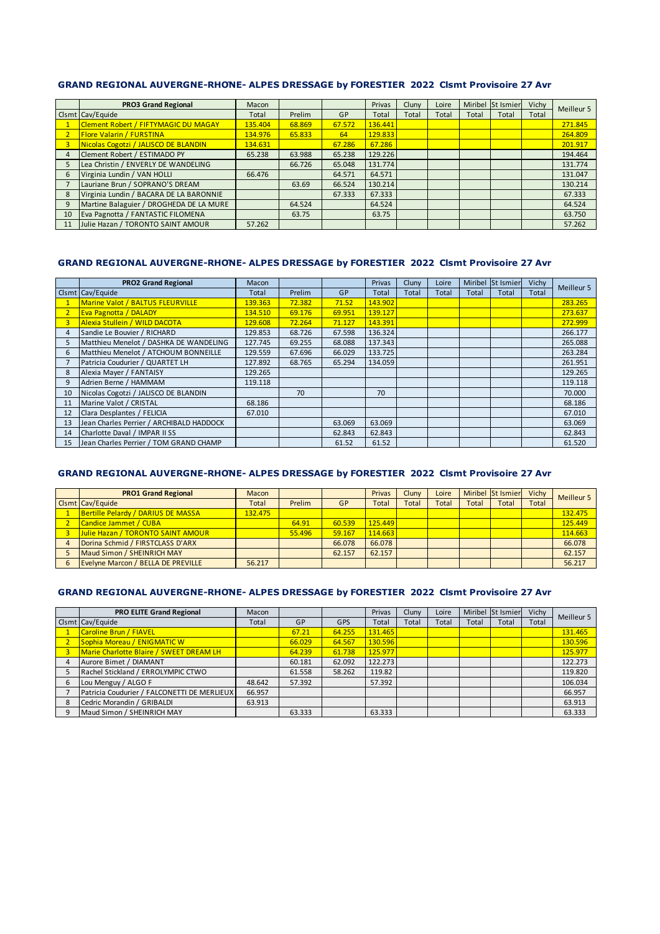#### GRAND REGIONAL AUVERGNE-RHONE- ALPES DRESSAGE by FORESTIER 2022 Clsmt Provisoire 27 Avr

|    | <b>PRO3 Grand Regional</b>                  | Macon   |        |        | Privas  | Cluny | Loire |       | Miribel St Ismier | Vichy | Meilleur 5 |
|----|---------------------------------------------|---------|--------|--------|---------|-------|-------|-------|-------------------|-------|------------|
|    | Clsmt Cav/Equide                            | Total   | Prelim | GP     | Total   | Total | Total | Total | Total             | Total |            |
|    | <b>Clement Robert / FIFTYMAGIC DU MAGAY</b> | 135.404 | 68.869 | 67.572 | 136.441 |       |       |       |                   |       | 271.845    |
|    | <b>Flore Valarin / FURSTINA</b>             | 134.976 | 65.833 | 64     | 129.833 |       |       |       |                   |       | 264.809    |
| 3  | Nicolas Cogotzi / JALISCO DE BLANDIN        | 134.631 |        | 67.286 | 67.286  |       |       |       |                   |       | 201.917    |
| 4  | Clement Robert / ESTIMADO PY                | 65.238  | 63.988 | 65.238 | 129,226 |       |       |       |                   |       | 194.464    |
| 5  | Lea Christin / ENVERLY DE WANDELING         |         | 66.726 | 65.048 | 131.774 |       |       |       |                   |       | 131.774    |
| 6  | Virginia Lundin / VAN HOLLI                 | 66.476  |        | 64.571 | 64.571  |       |       |       |                   |       | 131.047    |
|    | Lauriane Brun / SOPRANO'S DREAM             |         | 63.69  | 66.524 | 130.214 |       |       |       |                   |       | 130.214    |
| 8  | Virginia Lundin / BACARA DE LA BARONNIE     |         |        | 67.333 | 67.333  |       |       |       |                   |       | 67.333     |
| 9  | Martine Balaguier / DROGHEDA DE LA MURE     |         | 64.524 |        | 64.524  |       |       |       |                   |       | 64.524     |
| 10 | Eva Pagnotta / FANTASTIC FILOMENA           |         | 63.75  |        | 63.75   |       |       |       |                   |       | 63.750     |
| 11 | Julie Hazan / TORONTO SAINT AMOUR           | 57.262  |        |        |         |       |       |       |                   |       | 57.262     |

### **GRAND REGIONAL AUVERGNE-RHONE- ALPES DRESSAGE by FORESTIER 2022 Clsmt Provisoire 27 Avr**

|    | <b>PRO2 Grand Regional</b>               | Macon   |        |        | <b>Privas</b> | Cluny | Loire |       | Miribel St Ismier | Vichy | Meilleur 5 |
|----|------------------------------------------|---------|--------|--------|---------------|-------|-------|-------|-------------------|-------|------------|
|    | Clsmt Cav/Equide                         | Total   | Prelim | GP     | Total         | Total | Total | Total | Total             | Total |            |
|    | Marine Valot / BALTUS FLEURVILLE         | 139.363 | 72.382 | 71.52  | 143.902       |       |       |       |                   |       | 283.265    |
|    | <b>Eva Pagnotta / DALADY</b>             | 134.510 | 69.176 | 69.951 | 139.127       |       |       |       |                   |       | 273.637    |
| 3  | Alexia Stullein / WILD DACOTA            | 129.608 | 72.264 | 71.127 | 143.391       |       |       |       |                   |       | 272.999    |
| 4  | Sandie Le Bouvier / RICHARD              | 129.853 | 68.726 | 67.598 | 136.324       |       |       |       |                   |       | 266.177    |
|    | Matthieu Menelot / DASHKA DE WANDELING   | 127.745 | 69.255 | 68.088 | 137.343       |       |       |       |                   |       | 265.088    |
| 6  | Matthieu Menelot / ATCHOUM BONNEILLE     | 129.559 | 67.696 | 66.029 | 133.725       |       |       |       |                   |       | 263.284    |
|    | Patricia Coudurier / QUARTET LH          | 127.892 | 68.765 | 65.294 | 134.059       |       |       |       |                   |       | 261.951    |
| 8  | Alexia Mayer / FANTAISY                  | 129.265 |        |        |               |       |       |       |                   |       | 129.265    |
| 9  | Adrien Berne / HAMMAM                    | 119.118 |        |        |               |       |       |       |                   |       | 119.118    |
| 10 | Nicolas Cogotzi / JALISCO DE BLANDIN     |         | 70     |        | 70            |       |       |       |                   |       | 70.000     |
| 11 | Marine Valot / CRISTAL                   | 68.186  |        |        |               |       |       |       |                   |       | 68.186     |
| 12 | Clara Desplantes / FELICIA               | 67.010  |        |        |               |       |       |       |                   |       | 67.010     |
| 13 | Jean Charles Perrier / ARCHIBALD HADDOCK |         |        | 63.069 | 63.069        |       |       |       |                   |       | 63.069     |
| 14 | Charlotte Daval / IMPAR II SS            |         |        | 62.843 | 62.843        |       |       |       |                   |       | 62.843     |
| 15 | Jean Charles Perrier / TOM GRAND CHAMP   |         |        | 61.52  | 61.52         |       |       |       |                   |       | 61.520     |

#### GRAND REGIONAL AUVERGNE-RHONE- ALPES DRESSAGE by FORESTIER 2022 Clsmt Provisoire 27 Avr

| <b>PRO1 Grand Regional</b>         | Macon        |        |        | <b>Privas</b> | Cluny        | Loire        |       | Miribel St Ismier | Vichy        | Meilleur 5 |
|------------------------------------|--------------|--------|--------|---------------|--------------|--------------|-------|-------------------|--------------|------------|
| Clsmt Cav/Equide                   | <b>Total</b> | Prelim | GP     | <b>Total</b>  | <b>Total</b> | <b>Total</b> | Total | Total             | <b>Total</b> |            |
| Bertille Pelardy / DARIUS DE MASSA | 132.475      |        |        |               |              |              |       |                   |              | 132.475    |
| Candice Jammet / CUBA              |              | 64.91  | 60.539 | 125.449       |              |              |       |                   |              | 125.449    |
| Julie Hazan / TORONTO SAINT AMOUR  |              | 55.496 | 59.167 | 114.663       |              |              |       |                   |              | 114.663    |
| Dorina Schmid / FIRSTCLASS D'ARX   |              |        | 66.078 | 66.078        |              |              |       |                   |              | 66.078     |
| Maud Simon / SHEINRICH MAY         |              |        | 62.157 | 62.157        |              |              |       |                   |              | 62.157     |
| Evelyne Marcon / BELLA DE PREVILLE | 56.217       |        |        |               |              |              |       |                   |              | 56.217     |

#### **GRAND REGIONAL AUVERGNE-RHONE- ALPES DRESSAGE by FORESTIER 2022 Clsmt Provisoire 27 Avr**

| <b>PRO ELITE Grand Regional</b>             | Macon  |        |            | Privas  | Cluny | Loire |       | Miribel St Ismier | Vichy | Meilleur 5 |
|---------------------------------------------|--------|--------|------------|---------|-------|-------|-------|-------------------|-------|------------|
| Clsmt Cav/Equide                            | Total  | GP     | <b>GPS</b> | Total   | Total | Total | Total | Total             | Total |            |
| Caroline Brun / FIAVEL                      |        | 67.21  | 64.255     | 131.465 |       |       |       |                   |       | 131.465    |
| Sophia Moreau / ENIGMATIC W                 |        | 66.029 | 64.567     | 130.596 |       |       |       |                   |       | 130.596    |
| Marie Charlotte Blaire / SWEET DREAM LH     |        | 64.239 | 61.738     | 125.977 |       |       |       |                   |       | 125.977    |
| Aurore Bimet / DIAMANT                      |        | 60.181 | 62.092     | 122.273 |       |       |       |                   |       | 122.273    |
| Rachel Stickland / ERROLYMPIC CTWO          |        | 61.558 | 58.262     | 119.82  |       |       |       |                   |       | 119.820    |
| Lou Menguy / ALGO F                         | 48.642 | 57.392 |            | 57.392  |       |       |       |                   |       | 106.034    |
| Patricia Coudurier / FALCONETTI DE MERLIEUX | 66.957 |        |            |         |       |       |       |                   |       | 66.957     |
| Cedric Morandin / GRIBALDI                  | 63.913 |        |            |         |       |       |       |                   |       | 63.913     |
| Maud Simon / SHEINRICH MAY                  |        | 63.333 |            | 63.333  |       |       |       |                   |       | 63.333     |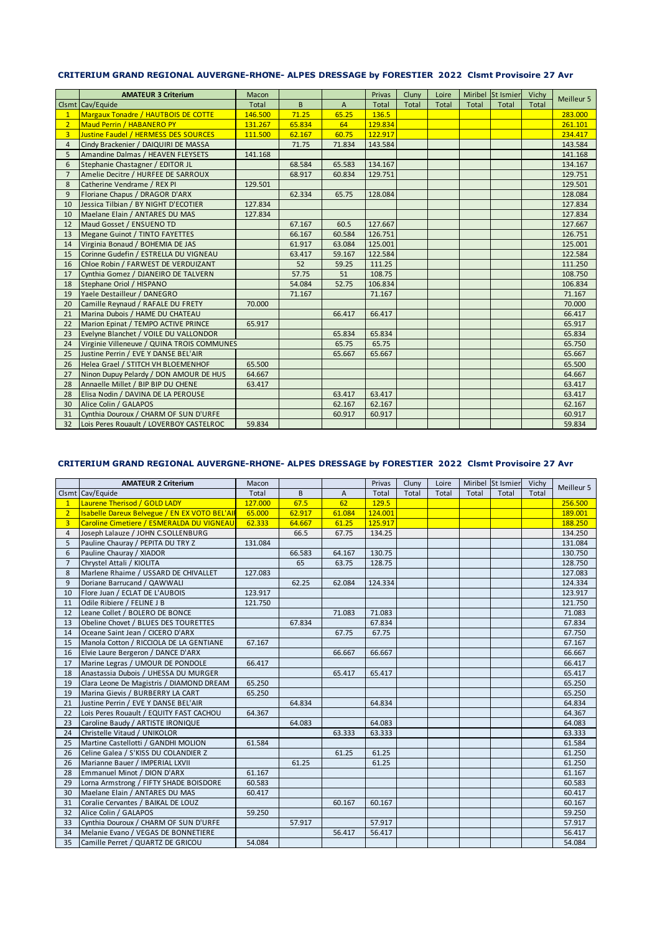#### **CRITERIUM GRAND REGIONAL AUVERGNE-RHONE- ALPES DRESSAGE by FORESTIER 2022 Clsmt Provisoire 27 Avr**

|                | <b>AMATEUR 3 Criterium</b>                  | <b>Macon</b> |        |        | Privas  | Cluny | Loire        |       | Miribel St Ismier | Vichy |            |
|----------------|---------------------------------------------|--------------|--------|--------|---------|-------|--------------|-------|-------------------|-------|------------|
|                | Clsmt Cav/Equide                            | <b>Total</b> | B      | A      | Total   | Total | <b>Total</b> | Total | Total             | Total | Meilleur 5 |
| $\mathbf{1}$   | Margaux Tonadre / HAUTBOIS DE COTTE         | 146.500      | 71.25  | 65.25  | 136.5   |       |              |       |                   |       | 283.000    |
| $\overline{2}$ | <b>Maud Perrin / HABANERO PY</b>            | 131.267      | 65.834 | 64     | 129.834 |       |              |       |                   |       | 261.101    |
| $\overline{3}$ | <b>Justine Faudel / HERMESS DES SOURCES</b> | 111.500      | 62.167 | 60.75  | 122.917 |       |              |       |                   |       | 234.417    |
| $\overline{4}$ | Cindy Brackenier / DAIQUIRI DE MASSA        |              | 71.75  | 71.834 | 143.584 |       |              |       |                   |       | 143.584    |
| 5              | Amandine Dalmas / HEAVEN FLEYSETS           | 141.168      |        |        |         |       |              |       |                   |       | 141.168    |
| 6              | Stephanie Chastagner / EDITOR JL            |              | 68.584 | 65.583 | 134.167 |       |              |       |                   |       | 134.167    |
| $\overline{7}$ | Amelie Decitre / HURFEE DE SARROUX          |              | 68.917 | 60.834 | 129.751 |       |              |       |                   |       | 129.751    |
| 8              | Catherine Vendrame / REX PI                 | 129.501      |        |        |         |       |              |       |                   |       | 129.501    |
| 9              | Floriane Chapus / DRAGOR D'ARX              |              | 62.334 | 65.75  | 128.084 |       |              |       |                   |       | 128.084    |
| 10             | Jessica Tilbian / BY NIGHT D'ECOTIER        | 127.834      |        |        |         |       |              |       |                   |       | 127.834    |
| 10             | Maelane Elain / ANTARES DU MAS              | 127.834      |        |        |         |       |              |       |                   |       | 127.834    |
| 12             | Maud Gosset / ENSUENO TD                    |              | 67.167 | 60.5   | 127.667 |       |              |       |                   |       | 127.667    |
| 13             | Megane Guinot / TINTO FAYETTES              |              | 66.167 | 60.584 | 126.751 |       |              |       |                   |       | 126.751    |
| 14             | Virginia Bonaud / BOHEMIA DE JAS            |              | 61.917 | 63.084 | 125.001 |       |              |       |                   |       | 125.001    |
| 15             | Corinne Gudefin / ESTRELLA DU VIGNEAU       |              | 63.417 | 59.167 | 122.584 |       |              |       |                   |       | 122.584    |
| 16             | Chloe Robin / FARWEST DE VERDUIZANT         |              | 52     | 59.25  | 111.25  |       |              |       |                   |       | 111.250    |
| 17             | Cynthia Gomez / DJANEIRO DE TALVERN         |              | 57.75  | 51     | 108.75  |       |              |       |                   |       | 108.750    |
| 18             | Stephane Oriol / HISPANO                    |              | 54.084 | 52.75  | 106.834 |       |              |       |                   |       | 106.834    |
| 19             | Yaele Destailleur / DANEGRO                 |              | 71.167 |        | 71.167  |       |              |       |                   |       | 71.167     |
| 20             | Camille Reynaud / RAFALE DU FRETY           | 70.000       |        |        |         |       |              |       |                   |       | 70.000     |
| 21             | Marina Dubois / HAME DU CHATEAU             |              |        | 66.417 | 66.417  |       |              |       |                   |       | 66.417     |
| 22             | Marion Epinat / TEMPO ACTIVE PRINCE         | 65.917       |        |        |         |       |              |       |                   |       | 65.917     |
| 23             | Evelyne Blanchet / VOILE DU VALLONDOR       |              |        | 65.834 | 65.834  |       |              |       |                   |       | 65.834     |
| 24             | Virginie Villeneuve / QUINA TROIS COMMUNES  |              |        | 65.75  | 65.75   |       |              |       |                   |       | 65.750     |
| 25             | Justine Perrin / EVE Y DANSE BEL'AIR        |              |        | 65.667 | 65.667  |       |              |       |                   |       | 65.667     |
| 26             | Helea Grael / STITCH VH BLOEMENHOF          | 65.500       |        |        |         |       |              |       |                   |       | 65.500     |
| 27             | Ninon Dupuy Pelardy / DON AMOUR DE HUS      | 64.667       |        |        |         |       |              |       |                   |       | 64.667     |
| 28             | Annaelle Millet / BIP BIP DU CHENE          | 63.417       |        |        |         |       |              |       |                   |       | 63.417     |
| 28             | Elisa Nodin / DAVINA DE LA PEROUSE          |              |        | 63.417 | 63.417  |       |              |       |                   |       | 63.417     |
| 30             | Alice Colin / GALAPOS                       |              |        | 62.167 | 62.167  |       |              |       |                   |       | 62.167     |
| 31             | Cynthia Douroux / CHARM OF SUN D'URFE       |              |        | 60.917 | 60.917  |       |              |       |                   |       | 60.917     |
| 32             | Lois Peres Rouault / LOVERBOY CASTELROC     | 59.834       |        |        |         |       |              |       |                   |       | 59.834     |

## **CRITERIUM GRAND REGIONAL AUVERGNE-RHONE- ALPES DRESSAGE by FORESTIER 2022 Clsmt Provisoire 27 Avr**

|                | <b>AMATEUR 2 Criterium</b>                    | Macon   |        |                | Privas  | Cluny | Loire |       | Miribel St Ismier | Vichy |            |
|----------------|-----------------------------------------------|---------|--------|----------------|---------|-------|-------|-------|-------------------|-------|------------|
|                | Clsmt Cav/Equide                              | Total   | B      | $\overline{A}$ | Total   | Total | Total | Total | Total             | Total | Meilleur 5 |
| 1              | Laurene Therisod / GOLD LADY                  | 127.000 | 67.5   | 62             | 129.5   |       |       |       |                   |       | 256.500    |
| $\overline{2}$ | Isabelle Dareux Belvegue / EN EX VOTO BEL'AIR | 65.000  | 62.917 | 61.084         | 124.001 |       |       |       |                   |       | 189.001    |
| $\overline{3}$ | Caroline Cimetiere / ESMERALDA DU VIGNEAU     | 62.333  | 64.667 | 61.25          | 125.917 |       |       |       |                   |       | 188.250    |
| 4              | Joseph Lalauze / JOHN C.SOLLENBURG            |         | 66.5   | 67.75          | 134.25  |       |       |       |                   |       | 134.250    |
| 5              | Pauline Chauray / PEPITA DU TRY Z             | 131.084 |        |                |         |       |       |       |                   |       | 131.084    |
| 6              | Pauline Chauray / XIADOR                      |         | 66.583 | 64.167         | 130.75  |       |       |       |                   |       | 130.750    |
| $\overline{7}$ | Chrystel Attali / KIOLITA                     |         | 65     | 63.75          | 128.75  |       |       |       |                   |       | 128.750    |
| 8              | Marlene Rhaime / USSARD DE CHIVALLET          | 127.083 |        |                |         |       |       |       |                   |       | 127.083    |
| 9              | Doriane Barrucand / QAWWALI                   |         | 62.25  | 62.084         | 124.334 |       |       |       |                   |       | 124.334    |
| 10             | Flore Juan / ECLAT DE L'AUBOIS                | 123.917 |        |                |         |       |       |       |                   |       | 123.917    |
| 11             | Odile Ribiere / FELINE J B                    | 121.750 |        |                |         |       |       |       |                   |       | 121.750    |
| 12             | Leane Collet / BOLERO DE BONCE                |         |        | 71.083         | 71.083  |       |       |       |                   |       | 71.083     |
| 13             | Obeline Chovet / BLUES DES TOURETTES          |         | 67.834 |                | 67.834  |       |       |       |                   |       | 67.834     |
| 14             | Oceane Saint Jean / CICERO D'ARX              |         |        | 67.75          | 67.75   |       |       |       |                   |       | 67.750     |
| 15             | Manola Cotton / RICCIOLA DE LA GENTIANE       | 67.167  |        |                |         |       |       |       |                   |       | 67.167     |
| 16             | Elvie Laure Bergeron / DANCE D'ARX            |         |        | 66.667         | 66.667  |       |       |       |                   |       | 66.667     |
| 17             | Marine Legras / UMOUR DE PONDOLE              | 66.417  |        |                |         |       |       |       |                   |       | 66.417     |
| 18             | Anastassia Dubois / UHESSA DU MURGER          |         |        | 65.417         | 65.417  |       |       |       |                   |       | 65.417     |
| 19             | Clara Leone De Magistris / DIAMOND DREAM      | 65.250  |        |                |         |       |       |       |                   |       | 65.250     |
| 19             | Marina Gievis / BURBERRY LA CART              | 65.250  |        |                |         |       |       |       |                   |       | 65.250     |
| 21             | Justine Perrin / EVE Y DANSE BEL'AIR          |         | 64.834 |                | 64.834  |       |       |       |                   |       | 64.834     |
| 22             | Lois Peres Rouault / EQUITY FAST CACHOU       | 64.367  |        |                |         |       |       |       |                   |       | 64.367     |
| 23             | Caroline Baudy / ARTISTE IRONIQUE             |         | 64.083 |                | 64.083  |       |       |       |                   |       | 64.083     |
| 24             | Christelle Vitaud / UNIKOLOR                  |         |        | 63.333         | 63.333  |       |       |       |                   |       | 63.333     |
| 25             | Martine Castellotti / GANDHI MOLION           | 61.584  |        |                |         |       |       |       |                   |       | 61.584     |
| 26             | Celine Galea / S'KISS DU COLANDIER Z          |         |        | 61.25          | 61.25   |       |       |       |                   |       | 61.250     |
| 26             | Marianne Bauer / IMPERIAL LXVII               |         | 61.25  |                | 61.25   |       |       |       |                   |       | 61.250     |
| 28             | Emmanuel Minot / DION D'ARX                   | 61.167  |        |                |         |       |       |       |                   |       | 61.167     |
| 29             | Lorna Armstrong / FIFTY SHADE BOISDORE        | 60.583  |        |                |         |       |       |       |                   |       | 60.583     |
| 30             | Maelane Elain / ANTARES DU MAS                | 60.417  |        |                |         |       |       |       |                   |       | 60.417     |
| 31             | Coralie Cervantes / BAIKAL DE LOUZ            |         |        | 60.167         | 60.167  |       |       |       |                   |       | 60.167     |
| 32             | Alice Colin / GALAPOS                         | 59.250  |        |                |         |       |       |       |                   |       | 59.250     |
| 33             | Cynthia Douroux / CHARM OF SUN D'URFE         |         | 57.917 |                | 57.917  |       |       |       |                   |       | 57.917     |
| 34             | Melanie Evano / VEGAS DE BONNETIERE           |         |        | 56.417         | 56.417  |       |       |       |                   |       | 56.417     |
| 35             | Camille Perret / QUARTZ DE GRICOU             | 54.084  |        |                |         |       |       |       |                   |       | 54.084     |